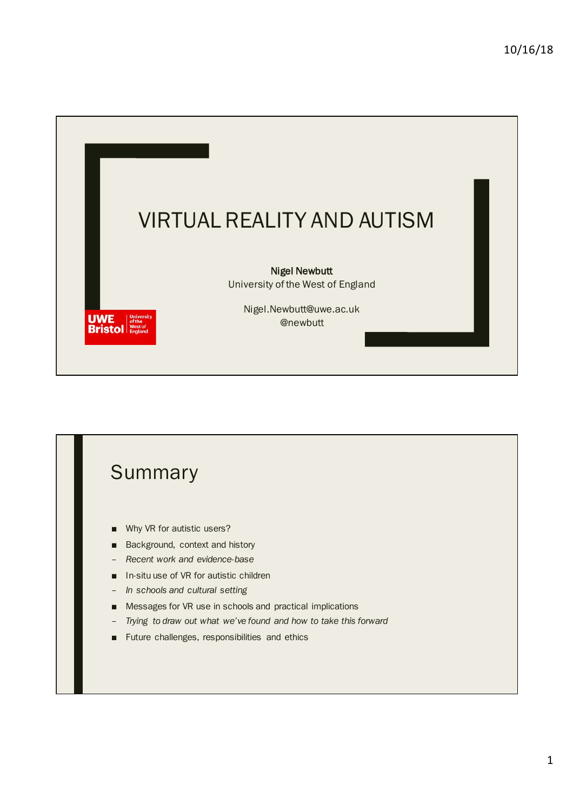

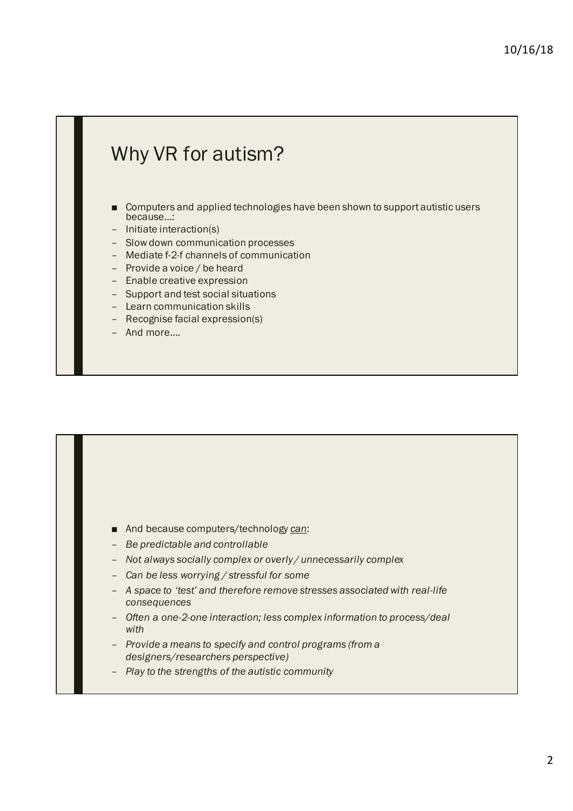# Why VR for autism?

- Computers and applied technologies have been shown to support autistic users because...:
- Initiate interaction(s)
- Slow down communication processes
- Mediate f-2-f channels of communication
- Provide a voice / be heard
- Enable creative expression
- Support and test social situations
- Learn communication skills
- Recognise facial expression(s)
- And more….



- *Be predictable and controllable*
- *Not always socially complex or overly / unnecessarily complex*
- *Can be less worrying / stressful for some*
- *A space to 'test' and therefore remove stresses associated with real-life consequences*
- *Often a one-2-one interaction; less complex information to process/deal with*
- *Provide a means to specify and control programs (from a designers/researchers perspective)*
- *Play to the strengths of the autistic community*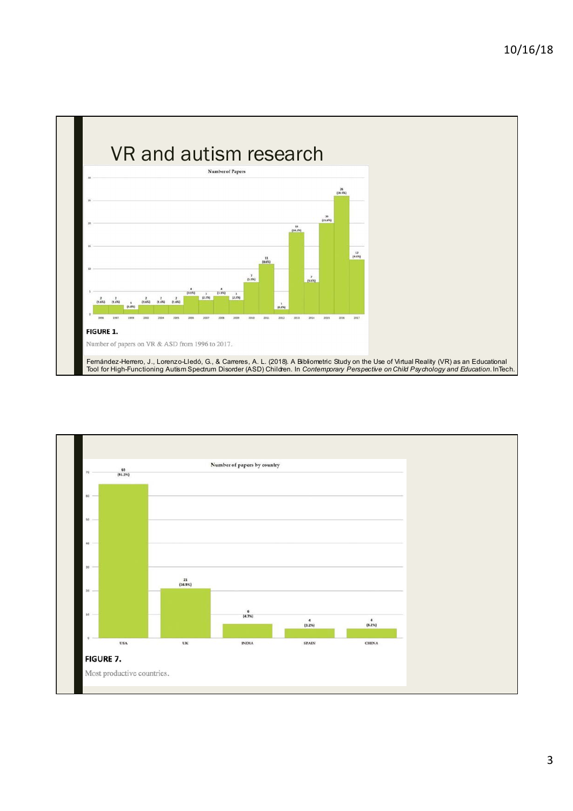

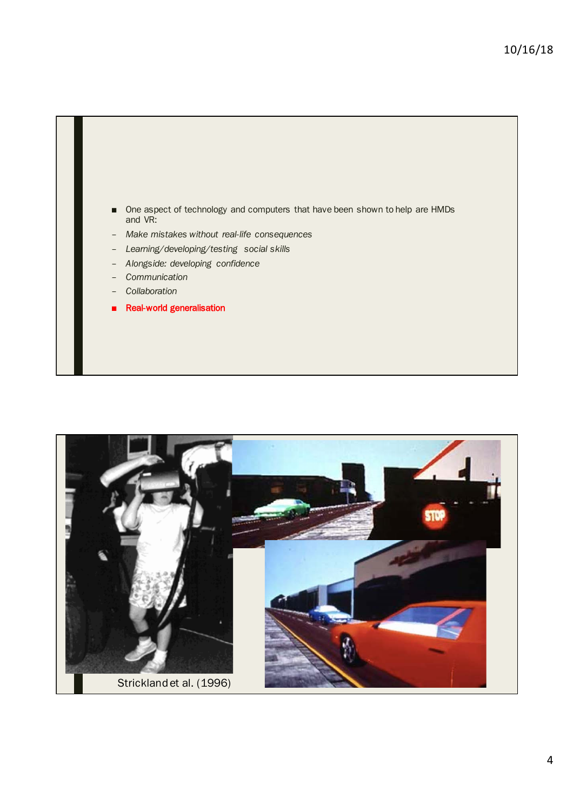

- *Make mistakes without real-life consequences*
- *Learning/developing/testing social skills*
- *Alongside: developing confidence*
- *Communication*
- *Collaboration*
- **Real-world generalisation**

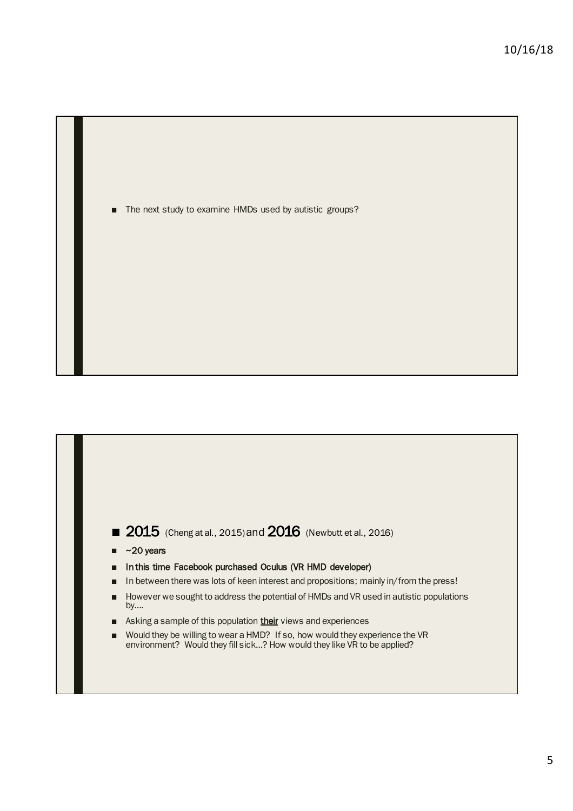

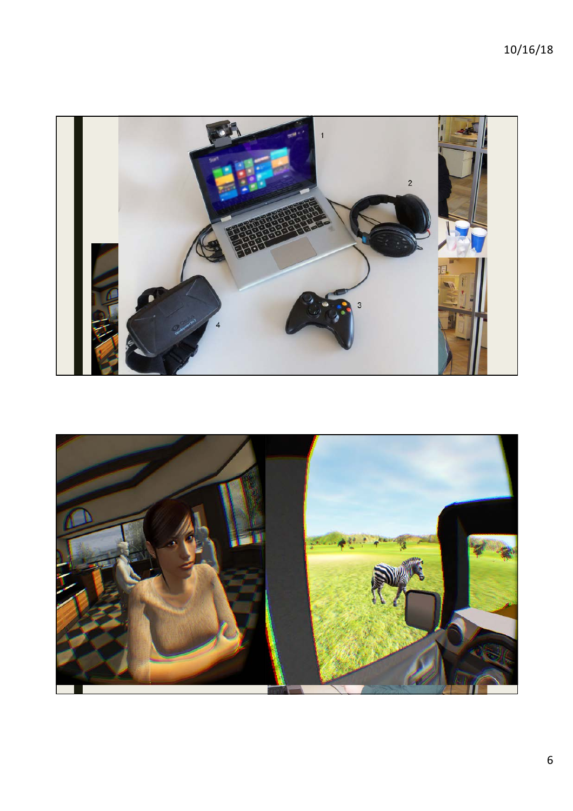

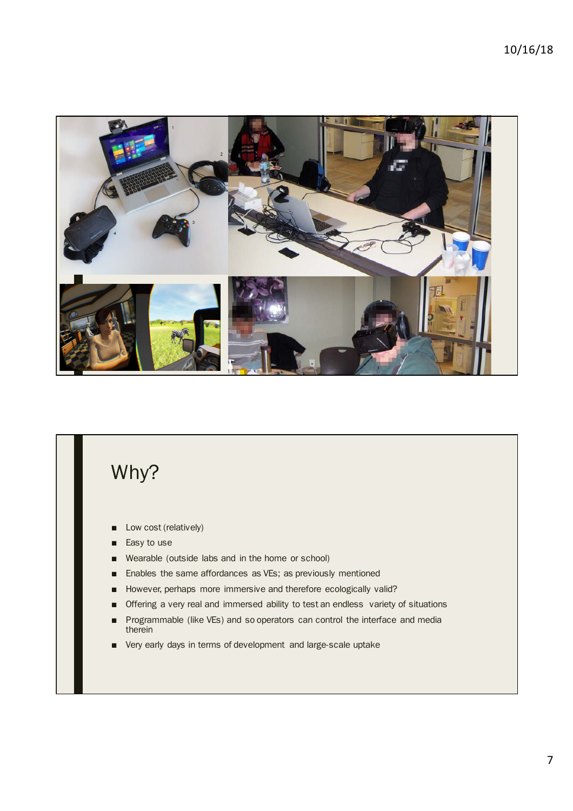

# Why?

- Low cost (relatively)
- Easy to use
- Wearable (outside labs and in the home or school)
- Enables the same affordances as VEs; as previously mentioned
- However, perhaps more immersive and therefore ecologically valid?
- Offering a very real and immersed ability to test an endless variety of situations
- Programmable (like VEs) and so operators can control the interface and media therein
- Very early days in terms of development and large-scale uptake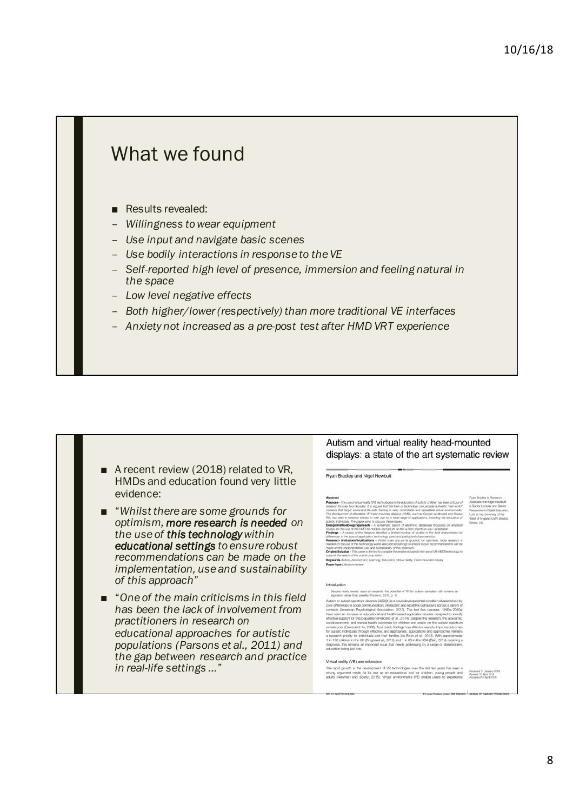## What we found

- Results revealed:
- *Willingness to wear equipment*
- *Use input and navigate basic scenes*
- *Use bodily interactions in response to the VE*
- *Self-reported high level of presence, immersion and feeling natural in the space*
- *Low level negative effects*
- *Both higher/lower (respectively) than more traditional VE interfaces*
- *Anxiety not increased as a pre-post test after HMD VRT experience*

### ■ A recent review (2018) related to VR, HMDs and education found very little evidence:

■ "*Whilst there are some grounds for optimism, more research is needed on the use of this technology within educational settings to ensure robust recommendations can be made on the implementation, use and sustainability of this approach*"

■ "*One of the main criticisms in this field has been the lack of involvement from practitioners in research on educational approaches for autistic populations (Parsons et al., 2011) and the gap between research and practice in real-life settings …"*

### Autism and virtual reality head-mounted displays: a state of the art systematic review

Ryan Bradley and Nigel Newbutt

Despite nearly twenty years of res<br>aspiration rather than a reality (Pan

### Virtual reality (VR) and education

iniumal researy terry aims exusuation.<br>Itong angunant made for its use as an educational food for children, young people and ... . . . . . . . . . .<br>Itong angunant made for its use as an educational food for children, youn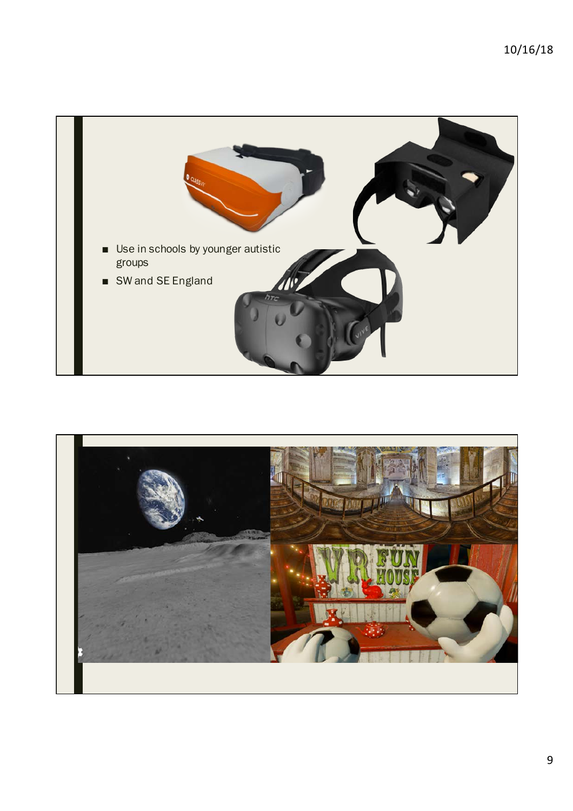

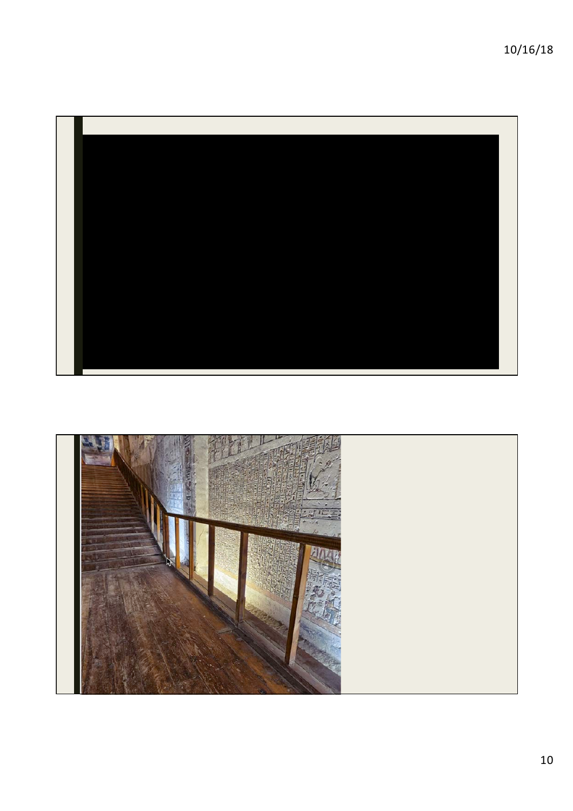

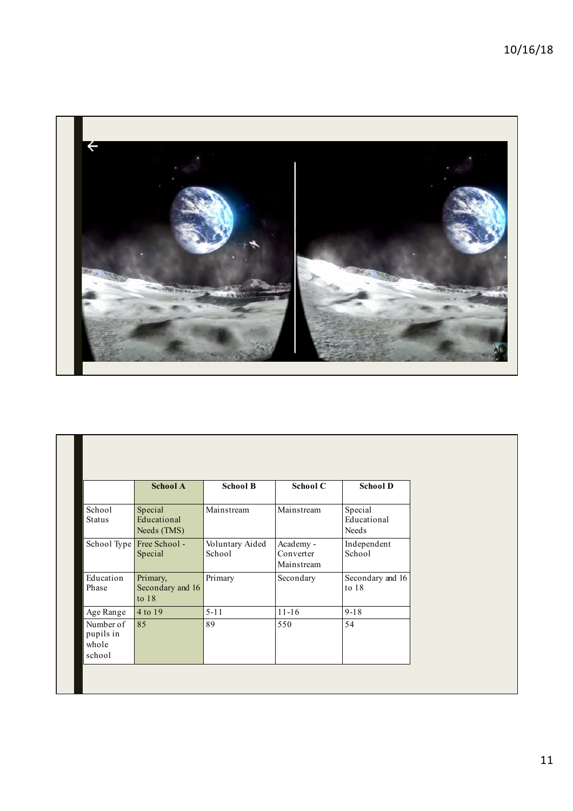

|                                           | <b>School A</b>                         | School B                  | School C                             | <b>School D</b>                 |
|-------------------------------------------|-----------------------------------------|---------------------------|--------------------------------------|---------------------------------|
| School<br><b>Status</b>                   | Special<br>Educational<br>Needs (TMS)   | Mainstream                | Mainstream                           | Special<br>Educational<br>Needs |
| School Type                               | Free School -<br>Special                | Voluntary Aided<br>School | Academy -<br>Converter<br>Mainstream | Independent<br>School           |
| Education<br>Phase                        | Primary,<br>Secondary and 16<br>to $18$ | Primary                   | Secondary                            | Secondary and 16<br>to $18$     |
| Age Range                                 | 4 to 19                                 | $5 - 11$                  | $11 - 16$                            | $9-18$                          |
| Number of<br>pupils in<br>whole<br>school | 85                                      | 89                        | 550                                  | 54                              |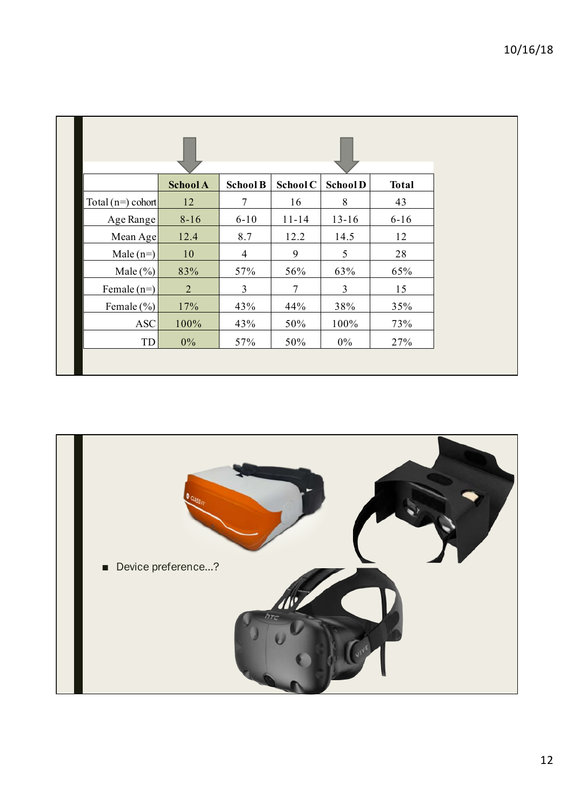|                     | <b>School A</b> | <b>School B</b> | School C  | <b>School D</b> | <b>Total</b> |
|---------------------|-----------------|-----------------|-----------|-----------------|--------------|
| Total $(n=)$ cohort | 12              | 7               | 16        | 8               | 43           |
| Age Range           | $8 - 16$        | $6 - 10$        | $11 - 14$ | $13 - 16$       | $6 - 16$     |
| Mean Age            | 12.4            | 8.7             | 12.2      | 14.5            | 12           |
| Male $(n=)$         | 10              | $\overline{4}$  | 9         | 5               | 28           |
| Male $(\% )$        | 83%             | 57%             | 56%       | 63%             | 65%          |
| Female $(n=)$       | $\overline{2}$  | $\overline{3}$  | $\tau$    | $\overline{3}$  | 15           |
| Female $(\% )$      | 17%             | 43%             | 44%       | 38%             | 35%          |
| <b>ASC</b>          | 100%            | 43%             | 50%       | 100%            | 73%          |
| TD                  | $0\%$           | 57%             | 50%       | $0\%$           | 27%          |

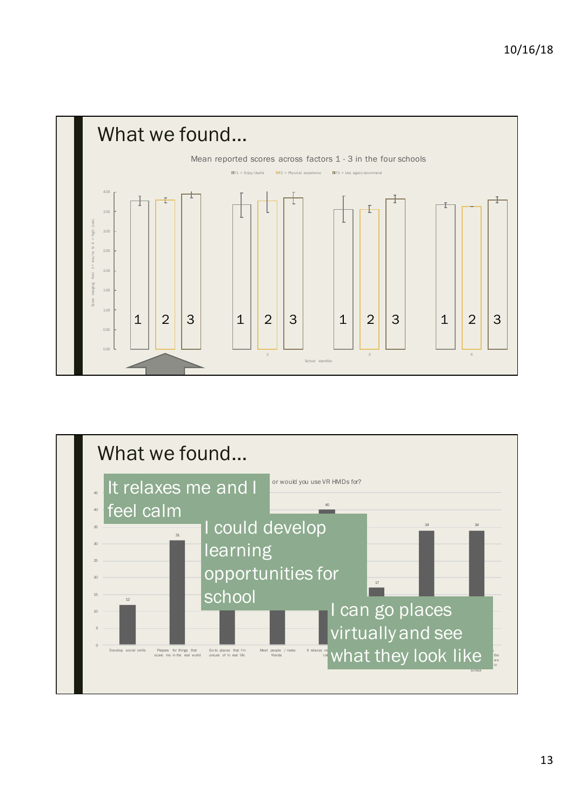

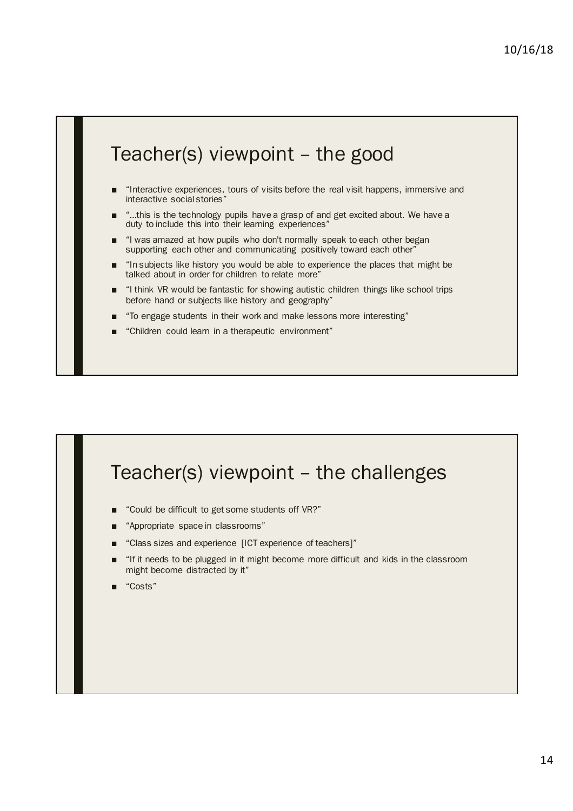

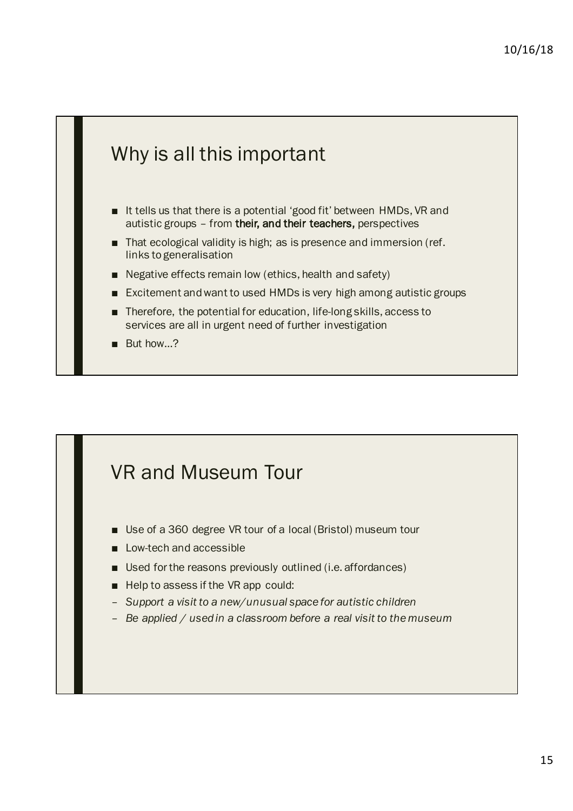

# VR and Museum Tour

- Use of a 360 degree VR tour of a local (Bristol) museum tour
- Low-tech and accessible
- Used for the reasons previously outlined (i.e. affordances)
- Help to assess if the VR app could:
- *Support a visit to a new/unusual space for autistic children*
- *Be applied / used in a classroom before a real visit to the museum*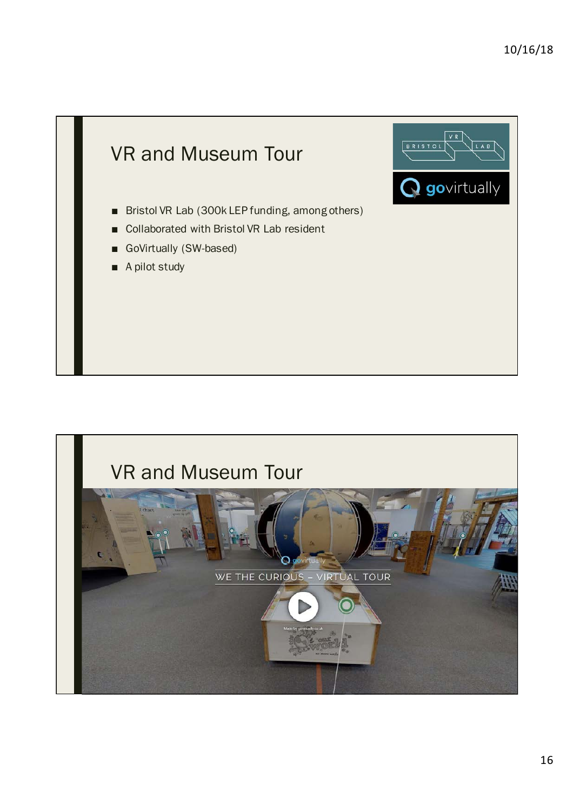

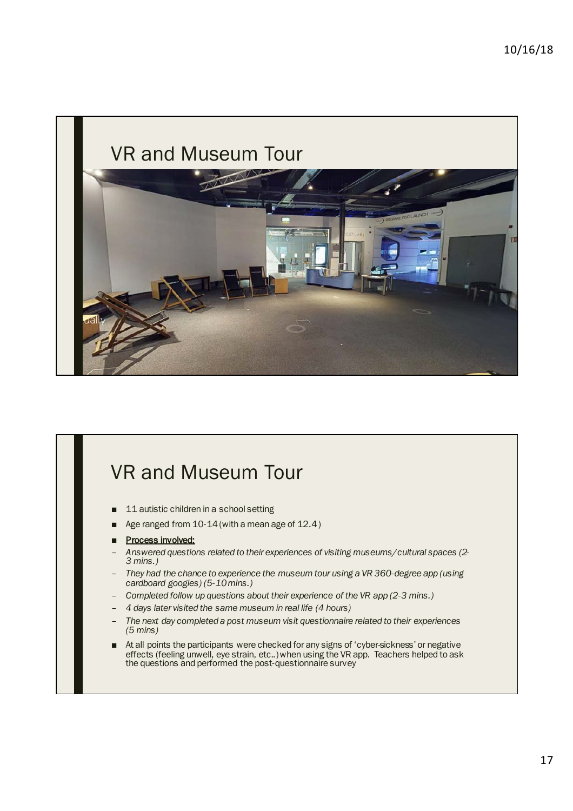

### VR and Museum Tour 11 autistic children in a school setting Age ranged from 10-14 (with a mean age of 12.4) Process involved: – *Answered questions related to their experiences of visiting museums/cultural spaces (2- 3 mins.)* – *They had the chance to experience the museum tour using a VR 360-degree app (using cardboard googles) (5-10 mins.)* – *Completed follow up questions about their experience of the VR app (2-3 mins.)* – *4 days later visited the same museum in real life (4 hours)* – *The next day completed a post museum visit questionnaire related to their experiences (5 mins)* ■ At all points the participants were checked for any signs of 'cyber-sickness' or negative effects (feeling unwell, eye strain, etc..) when using the VR app. Teachers helped to ask the questions and performed the post-questionnaire survey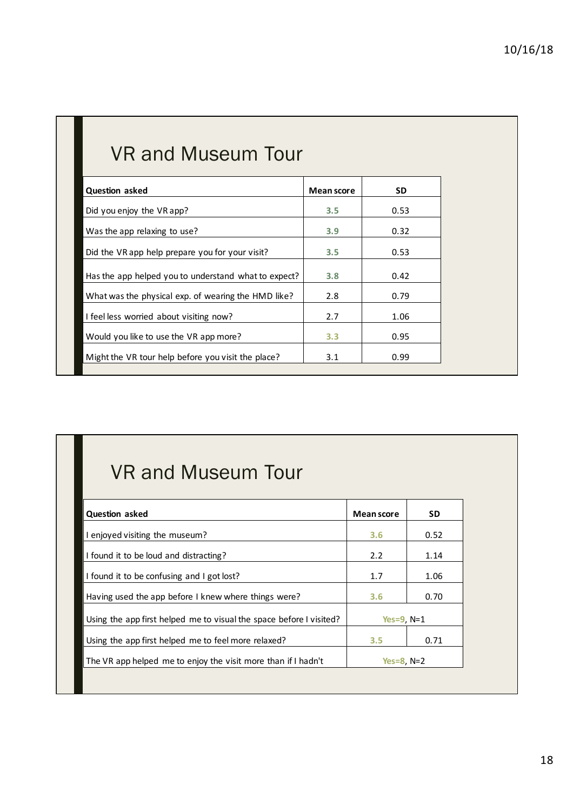# VR and Museum Tour

| <b>Question asked</b>                                | <b>Mean score</b> | <b>SD</b> |
|------------------------------------------------------|-------------------|-----------|
| Did you enjoy the VR app?                            | 3.5               | 0.53      |
| Was the app relaxing to use?                         | 3.9               | 0.32      |
| Did the VR app help prepare you for your visit?      | 3.5               | 0.53      |
|                                                      |                   |           |
| Has the app helped you to understand what to expect? | 3.8 <sub>1</sub>  | 0.42      |
| What was the physical exp. of wearing the HMD like?  | 2.8               | 0.79      |
| I feel less worried about visiting now?              | 2.7               | 1.06      |
| Would you like to use the VR app more?               | 3.3               | 0.95      |
| Might the VR tour help before you visit the place?   | 3.1               | 0.99      |
|                                                      |                   |           |

# VR and Museum Tour

| <b>Question asked</b>                                               | Mean score   | SD   |
|---------------------------------------------------------------------|--------------|------|
|                                                                     |              |      |
| I enjoved visiting the museum?                                      | 3.6          | 0.52 |
| I found it to be loud and distracting?                              | 2.2          | 1.14 |
| I found it to be confusing and I got lost?                          | 1.7          | 1.06 |
| Having used the app before I knew where things were?                | 3.6          | 0.70 |
| Using the app first helped me to visual the space before I visited? | Yes=9. $N=1$ |      |
| Using the app first helped me to feel more relaxed?                 | 3.5          | 0.71 |
| The VR app helped me to enjoy the visit more than if I hadn't       | Yes=8, $N=2$ |      |
|                                                                     |              |      |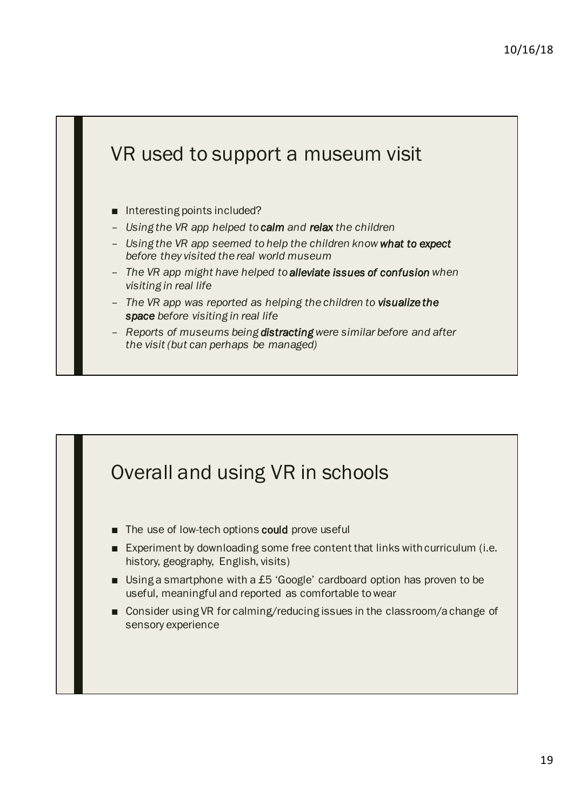

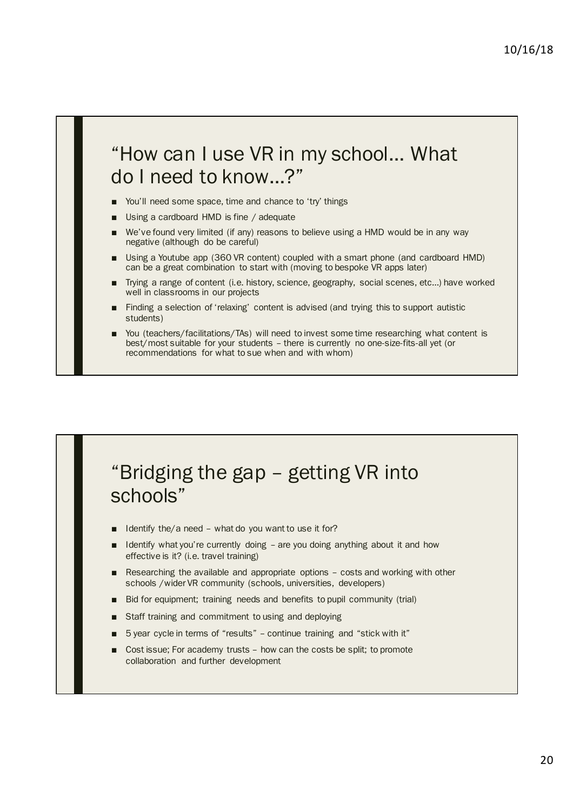## "How can I use VR in my school… What do I need to know…?"

- You'll need some space, time and chance to 'try' things
- Using a cardboard HMD is fine / adequate
- We've found very limited (if any) reasons to believe using a HMD would be in any way negative (although do be careful)
- Using a Youtube app (360 VR content) coupled with a smart phone (and cardboard HMD) can be a great combination to start with (moving to bespoke VR apps later)
- Trying a range of content (i.e. history, science, geography, social scenes, etc…) have worked well in classrooms in our projects
- Finding a selection of 'relaxing' content is advised (and trying this to support autistic students)
- You (teachers/facilitations/TAs) will need to invest some time researching what content is best/most suitable for your students – there is currently no one-size-fits-all yet (or recommendations for what to sue when and with whom)

# "Bridging the gap – getting VR into schools"

- Identify the/a need what do you want to use it for?
- Identify what you're currently doing are you doing anything about it and how effective is it? (i.e. travel training)
- Researching the available and appropriate options costs and working with other schools /wider VR community (schools, universities, developers)
- Bid for equipment; training needs and benefits to pupil community (trial)
- Staff training and commitment to using and deploying
- 5 year cycle in terms of "results" continue training and "stick with it"
- Cost issue; For academy trusts how can the costs be split; to promote collaboration and further development